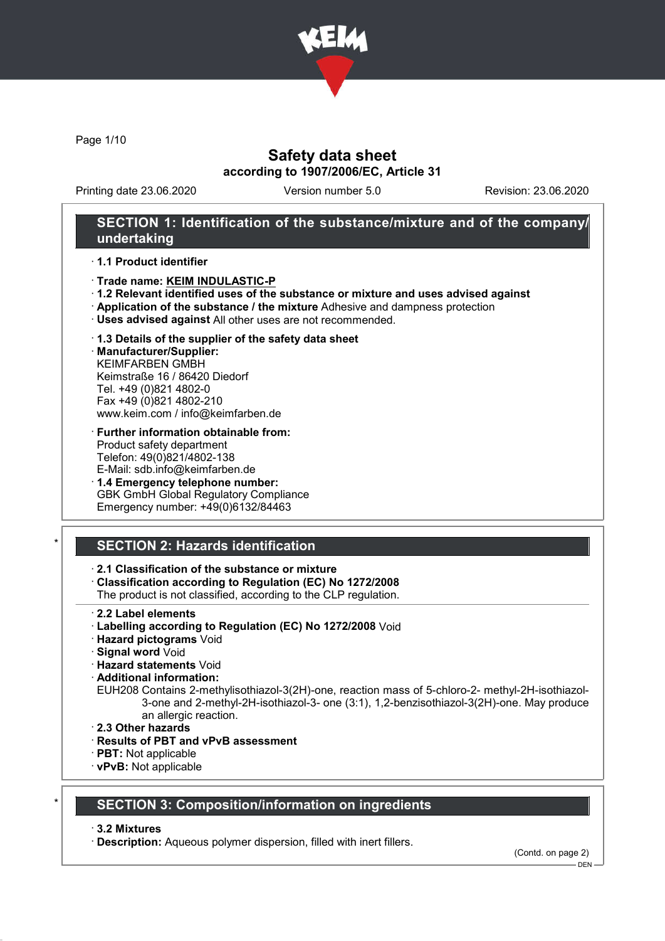

Page 1/10

## Safety data sheet according to 1907/2006/EC, Article 31

Printing date 23.06.2020 Version number 5.0 Revision: 23.06.2020

## SECTION 1: Identification of the substance/mixture and of the company/ undertaking

#### · 1.1 Product identifier

- · Trade name: KEIM INDULASTIC-P
- · 1.2 Relevant identified uses of the substance or mixture and uses advised against
- · Application of the substance / the mixture Adhesive and dampness protection
- · Uses advised against All other uses are not recommended.

### · 1.3 Details of the supplier of the safety data sheet

· Manufacturer/Supplier: KEIMFARBEN GMBH Keimstraße 16 / 86420 Diedorf Tel. +49 (0)821 4802-0 Fax +49 (0)821 4802-210 www.keim.com / info@keimfarben.de

- · Further information obtainable from: Product safety department Telefon: 49(0)821/4802-138 E-Mail: sdb.info@keimfarben.de
- · 1.4 Emergency telephone number: GBK GmbH Global Regulatory Compliance Emergency number: +49(0)6132/84463

## **SECTION 2: Hazards identification**

### · 2.1 Classification of the substance or mixture

· Classification according to Regulation (EC) No 1272/2008

The product is not classified, according to the CLP regulation.

- 2.2 Label elements
- · Labelling according to Regulation (EC) No 1272/2008 Void
- · Hazard pictograms Void
- · Signal word Void
- · Hazard statements Void
- · Additional information:
- EUH208 Contains 2-methylisothiazol-3(2H)-one, reaction mass of 5-chloro-2- methyl-2H-isothiazol-3-one and 2-methyl-2H-isothiazol-3- one (3:1), 1,2-benzisothiazol-3(2H)-one. May produce an allergic reaction.
- · 2.3 Other hazards
- · Results of PBT and vPvB assessment
- · PBT: Not applicable
- · vPvB: Not applicable

### **SECTION 3: Composition/information on ingredients**

### · 3.2 Mixtures

· Description: Aqueous polymer dispersion, filled with inert fillers.

(Contd. on page 2)

 $-$  DEN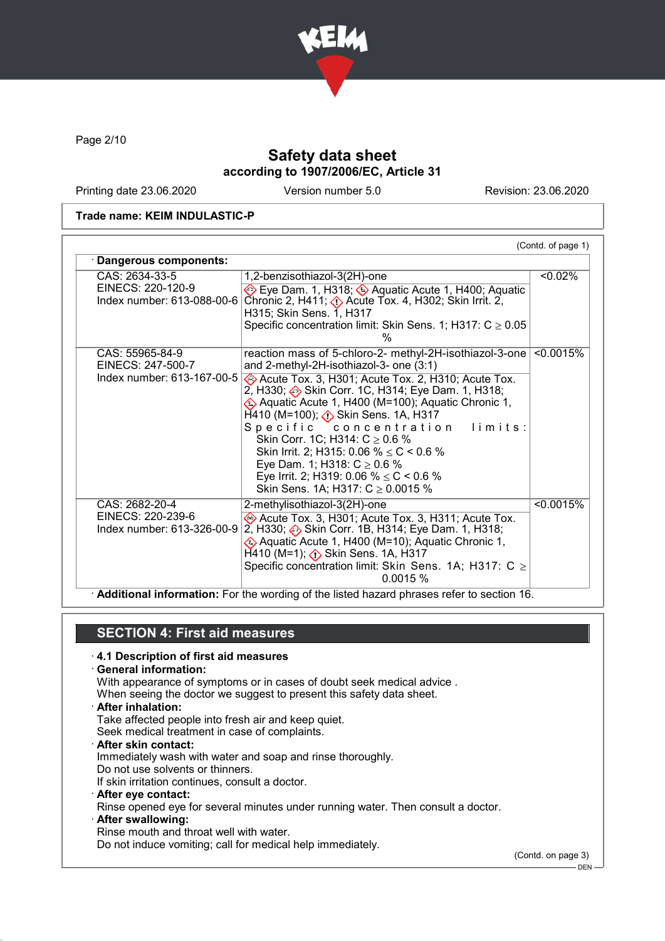

Page 2/10

## Safety data sheet according to 1907/2006/EC, Article 31

Printing date 23.06.2020 Version number 5.0 Revision: 23.06.2020

#### Trade name: KEIM INDULASTIC-P

| CAS: 2634-33-5                                  | 1,2-benzisothiazol-3(2H)-one                                                                                                                                                                                                                                                                                                                                                                                              | < 0.02%   |
|-------------------------------------------------|---------------------------------------------------------------------------------------------------------------------------------------------------------------------------------------------------------------------------------------------------------------------------------------------------------------------------------------------------------------------------------------------------------------------------|-----------|
| EINECS: 220-120-9<br>Index number: 613-088-00-6 | Eye Dam. 1, H318; $\leftrightarrow$ Aquatic Acute 1, H400; Aquatic<br>Chronic 2, H411; $\diamondsuit$ Acute Tox. 4, H302; Skin Irrit. 2,<br>H315; Skin Sens. 1, H317                                                                                                                                                                                                                                                      |           |
|                                                 | Specific concentration limit: Skin Sens. 1; H317: $C \ge 0.05$<br>%                                                                                                                                                                                                                                                                                                                                                       |           |
| CAS: 55965-84-9<br>EINECS: 247-500-7            | reaction mass of 5-chloro-2- methyl-2H-isothiazol-3-one<br>and 2-methyl-2H-isothiazol-3- one (3:1)                                                                                                                                                                                                                                                                                                                        | < 0.0015% |
| Index number: 613-167-00-5                      | Acute Tox. 3, H301; Acute Tox. 2, H310; Acute Tox.<br>2, H330; Skin Corr. 1C, H314; Eye Dam. 1, H318;<br>♦ Aquatic Acute 1, H400 (M=100); Aquatic Chronic 1,<br>$H$ 410 (M=100); $\Diamond$ Skin Sens. 1A, H317<br>Specific concentration limits:<br>Skin Corr. 1C; H314: $C \ge 0.6$ %<br>Skin Irrit. 2; H315: 0.06 % $\leq$ C < 0.6 %<br>Eye Dam. 1; H318: $C \ge 0.6$ %<br>Eye Irrit. 2; H319: 0.06 % $\leq$ C < 0.6 % |           |
| CAS: 2682-20-4                                  | Skin Sens. 1A; H317: $C \ge 0.0015$ %<br>2-methylisothiazol-3(2H)-one                                                                                                                                                                                                                                                                                                                                                     | < 0.0015% |
| EINECS: 220-239-6<br>Index number: 613-326-00-9 | Acute Tox. 3, H301; Acute Tox. 3, H311; Acute Tox.<br>2, H330; Skin Corr. 1B, H314; Eye Dam. 1, H318;<br>EXA Aquatic Acute 1, H400 (M=10); Aquatic Chronic 1,<br>$H$ 410 (M=1); $\Diamond$ Skin Sens. 1A, H317<br>Specific concentration limit: Skin Sens. 1A; H317: $C \ge$<br>0.0015%                                                                                                                                   |           |

### SECTION 4: First aid measures

#### · 4.1 Description of first aid measures

· General information:

With appearance of symptoms or in cases of doubt seek medical advice .

When seeing the doctor we suggest to present this safety data sheet.

- · After inhalation:
- Take affected people into fresh air and keep quiet.

Seek medical treatment in case of complaints.

· After skin contact: Immediately wash with water and soap and rinse thoroughly.

Do not use solvents or thinners.

If skin irritation continues, consult a doctor.

- · After eye contact:
- Rinse opened eye for several minutes under running water. Then consult a doctor.
- After swallowing:

Rinse mouth and throat well with water.

Do not induce vomiting; call for medical help immediately.

(Contd. on page 3)

 $-$  DEN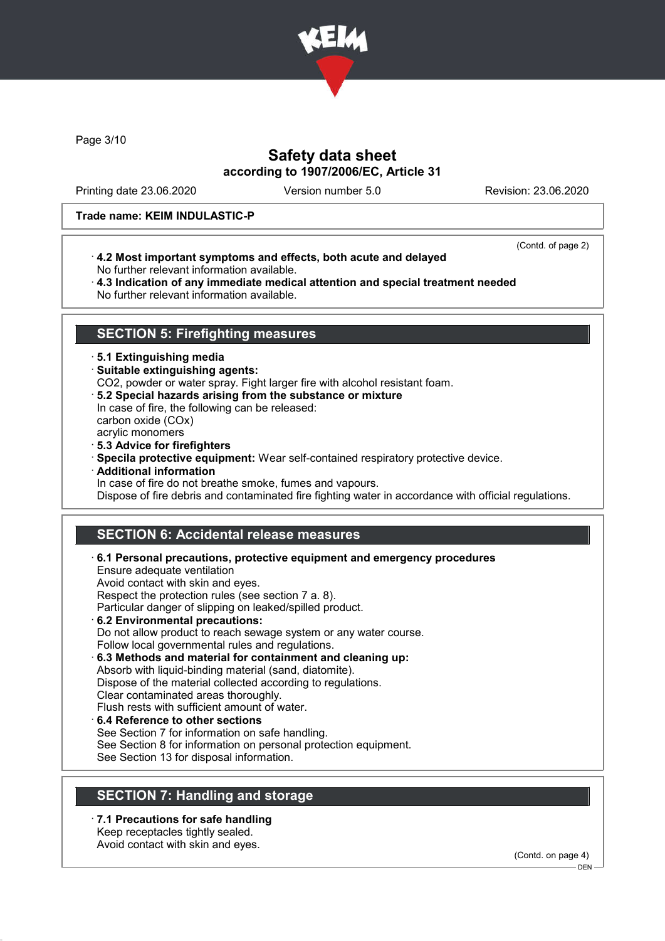

Page 3/10

## Safety data sheet according to 1907/2006/EC, Article 31

Printing date 23.06.2020 Version number 5.0 Revision: 23.06.2020

#### Trade name: KEIM INDULASTIC-P

· 4.2 Most important symptoms and effects, both acute and delayed No further relevant information available.

(Contd. of page 2)

· 4.3 Indication of any immediate medical attention and special treatment needed No further relevant information available.

### SECTION 5: Firefighting measures

### · 5.1 Extinguishing media

· Suitable extinguishing agents:

CO2, powder or water spray. Fight larger fire with alcohol resistant foam.

- · 5.2 Special hazards arising from the substance or mixture In case of fire, the following can be released: carbon oxide (COx) acrylic monomers
- 
- · 5.3 Advice for firefighters
- · Specila protective equipment: Wear self-contained respiratory protective device.
- · Additional information

In case of fire do not breathe smoke, fumes and vapours.

Dispose of fire debris and contaminated fire fighting water in accordance with official regulations.

# SECTION 6: Accidental release measures

· 6.1 Personal precautions, protective equipment and emergency procedures

Ensure adequate ventilation Avoid contact with skin and eyes. Respect the protection rules (see section 7 a. 8). Particular danger of slipping on leaked/spilled product.

- · 6.2 Environmental precautions: Do not allow product to reach sewage system or any water course. Follow local governmental rules and regulations. · 6.3 Methods and material for containment and cleaning up:
- Absorb with liquid-binding material (sand, diatomite). Dispose of the material collected according to regulations. Clear contaminated areas thoroughly.
- Flush rests with sufficient amount of water.
- 6.4 Reference to other sections See Section 7 for information on safe handling. See Section 8 for information on personal protection equipment.
- See Section 13 for disposal information.

## SECTION 7: Handling and storage

· 7.1 Precautions for safe handling Keep receptacles tightly sealed. Avoid contact with skin and eyes.

(Contd. on page 4)

DEN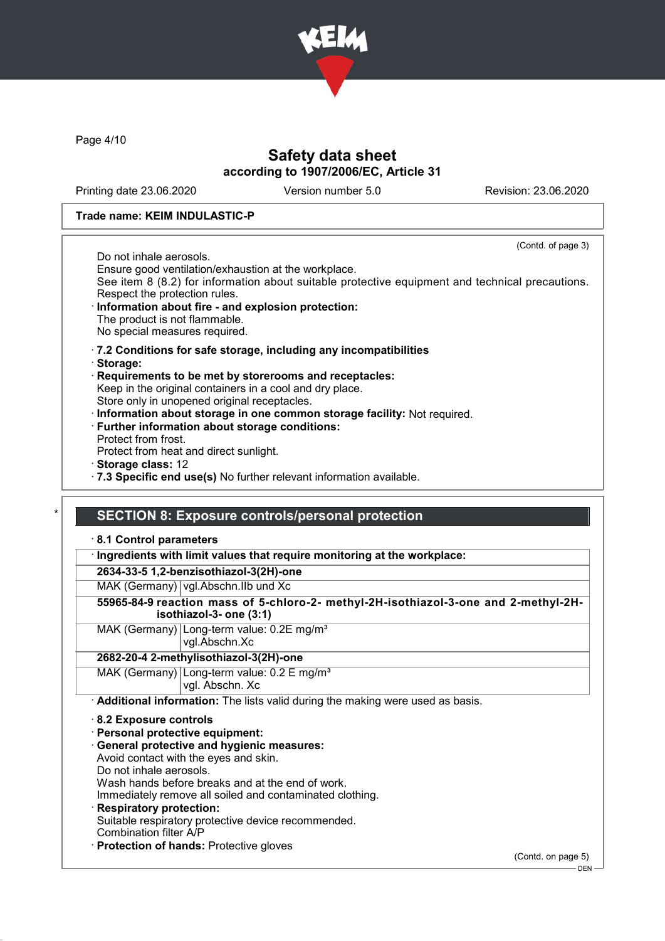

Page 4/10

## Safety data sheet according to 1907/2006/EC, Article 31

Printing date 23.06.2020 Version number 5.0 Revision: 23.06.2020

### Trade name: KEIM INDULASTIC-P

(Contd. of page 3)

Do not inhale aerosols.

Ensure good ventilation/exhaustion at the workplace.

See item 8 (8.2) for information about suitable protective equipment and technical precautions. Respect the protection rules.

- Information about fire and explosion protection: The product is not flammable. No special measures required.
- · 7.2 Conditions for safe storage, including any incompatibilities
- · Storage:
- · Requirements to be met by storerooms and receptacles: Keep in the original containers in a cool and dry place. Store only in unopened original receptacles.
- · Information about storage in one common storage facility: Not required.
- · Further information about storage conditions: Protect from frost.
- Protect from heat and direct sunlight.
- · Storage class: 12
- · 7.3 Specific end use(s) No further relevant information available.

### SECTION 8: Exposure controls/personal protection

### · 8.1 Control parameters

· Ingredients with limit values that require monitoring at the workplace:

2634-33-5 1,2-benzisothiazol-3(2H)-one

MAK (Germany) vgl.Abschn.IIb und Xc

- 55965-84-9 reaction mass of 5-chloro-2- methyl-2H-isothiazol-3-one and 2-methyl-2Hisothiazol-3- one (3:1)
- MAK (Germany) Long-term value: 0.2E mg/m<sup>3</sup> vgl.Abschn.Xc

### 2682-20-4 2-methylisothiazol-3(2H)-one

MAK (Germany) Long-term value: 0.2 E mg/m<sup>3</sup> vgl. Abschn. Xc

· Additional information: The lists valid during the making were used as basis.

### · 8.2 Exposure controls

- · Personal protective equipment:
- · General protective and hygienic measures:
- Avoid contact with the eyes and skin.
- Do not inhale aerosols.
- Wash hands before breaks and at the end of work.
- Immediately remove all soiled and contaminated clothing.
- Respiratory protection: Suitable respiratory protective device recommended. Combination filter A/P
- · Protection of hands: Protective gloves

(Contd. on page 5)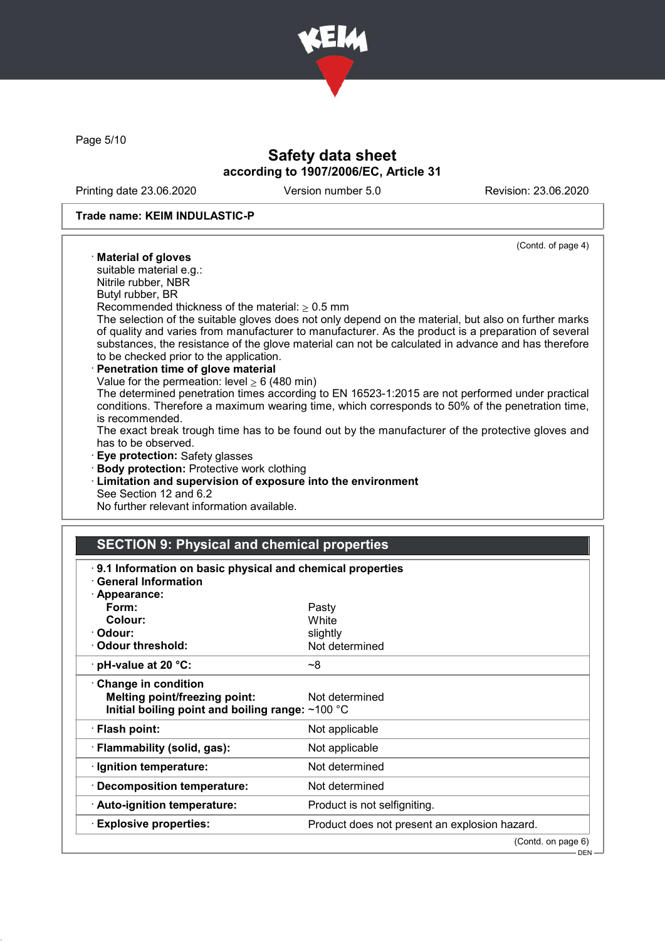

Page 5/10

## Safety data sheet according to 1907/2006/EC, Article 31

Printing date 23.06.2020 Version number 5.0 Revision: 23.06.2020

#### Trade name: KEIM INDULASTIC-P

#### (Contd. of page 4)

· Material of gloves

suitable material e.g.: Nitrile rubber, NBR

Butyl rubber, BR

Recommended thickness of the material:  $> 0.5$  mm

The selection of the suitable gloves does not only depend on the material, but also on further marks of quality and varies from manufacturer to manufacturer. As the product is a preparation of several substances, the resistance of the glove material can not be calculated in advance and has therefore to be checked prior to the application.

#### Penetration time of glove material

Value for the permeation: level  $\geq 6$  (480 min)

The determined penetration times according to EN 16523-1:2015 are not performed under practical conditions. Therefore a maximum wearing time, which corresponds to 50% of the penetration time, is recommended.

The exact break trough time has to be found out by the manufacturer of the protective gloves and has to be observed.

· Eye protection: Safety glasses

- · Body protection: Protective work clothing
- · Limitation and supervision of exposure into the environment See Section 12 and 6.2

No further relevant information available.

## SECTION 9: Physical and chemical properties

| 9.1 Information on basic physical and chemical properties<br><b>General Information</b>                         |                                               |
|-----------------------------------------------------------------------------------------------------------------|-----------------------------------------------|
| · Appearance:                                                                                                   |                                               |
| Form:                                                                                                           | Pasty                                         |
| Colour:                                                                                                         | White                                         |
| · Odour:                                                                                                        | slightly                                      |
| Odour threshold:                                                                                                | Not determined                                |
| $\cdot$ pH-value at 20 °C:                                                                                      | ~8                                            |
| Change in condition<br><b>Melting point/freezing point:</b><br>Initial boiling point and boiling range: ~100 °C | Not determined                                |
| · Flash point:                                                                                                  | Not applicable                                |
| · Flammability (solid, gas):                                                                                    | Not applicable                                |
| · Ignition temperature:                                                                                         | Not determined                                |
| · Decomposition temperature:                                                                                    | Not determined                                |
| · Auto-ignition temperature:                                                                                    | Product is not selfigniting.                  |
| <b>Explosive properties:</b>                                                                                    | Product does not present an explosion hazard. |
|                                                                                                                 | (Contd. on page 6)                            |

 $-$  DEN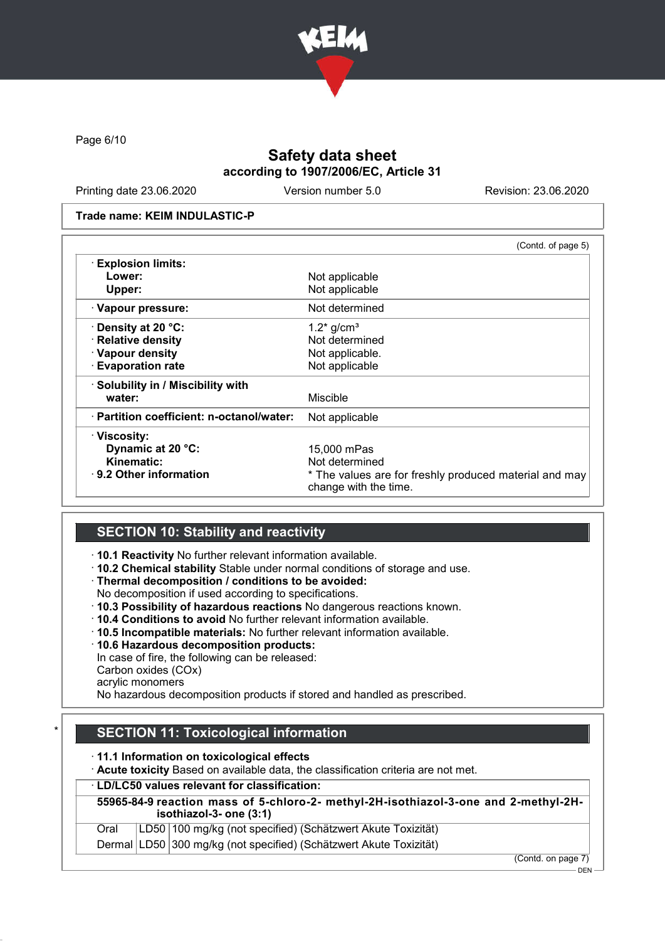

Page 6/10

# Safety data sheet according to 1907/2006/EC, Article 31

Printing date 23.06.2020 Version number 5.0 Revision: 23.06.2020

#### Trade name: KEIM INDULASTIC-P

|                                           | (Contd. of page 5)                                                              |
|-------------------------------------------|---------------------------------------------------------------------------------|
| <b>Explosion limits:</b>                  |                                                                                 |
| Lower:                                    | Not applicable                                                                  |
| Upper:                                    | Not applicable                                                                  |
| · Vapour pressure:                        | Not determined                                                                  |
| <b>⋅Density at 20 °C:</b>                 | $1.2*$ g/cm <sup>3</sup>                                                        |
| · Relative density                        | Not determined                                                                  |
| · Vapour density                          | Not applicable.                                                                 |
| <b>Evaporation rate</b>                   | Not applicable                                                                  |
| · Solubility in / Miscibility with        |                                                                                 |
| water:                                    | Miscible                                                                        |
| · Partition coefficient: n-octanol/water: | Not applicable                                                                  |
| · Viscosity:                              |                                                                                 |
| Dynamic at 20 °C:                         | 15,000 mPas                                                                     |
| Kinematic:                                | Not determined                                                                  |
| $\cdot$ 9.2 Other information             | * The values are for freshly produced material and may<br>change with the time. |

## SECTION 10: Stability and reactivity

· 10.1 Reactivity No further relevant information available.

· 10.2 Chemical stability Stable under normal conditions of storage and use.

· Thermal decomposition / conditions to be avoided:

No decomposition if used according to specifications.

· 10.3 Possibility of hazardous reactions No dangerous reactions known.

- · 10.4 Conditions to avoid No further relevant information available.
- · 10.5 Incompatible materials: No further relevant information available.
- · 10.6 Hazardous decomposition products:
- In case of fire, the following can be released:

Carbon oxides (COx)

acrylic monomers

No hazardous decomposition products if stored and handled as prescribed.

## **SECTION 11: Toxicological information**

· 11.1 Information on toxicological effects

· Acute toxicity Based on available data, the classification criteria are not met.

### · LD/LC50 values relevant for classification:

|      | 55965-84-9 reaction mass of 5-chloro-2- methyl-2H-isothiazol-3-one and 2-methyl-2H-<br>isothiazol-3- one (3:1) |
|------|----------------------------------------------------------------------------------------------------------------|
| Oral | LD50 100 mg/kg (not specified) (Schätzwert Akute Toxizität)                                                    |
|      | Dermal LD50 300 mg/kg (not specified) (Schätzwert Akute Toxizität)                                             |

(Contd. on page 7)

DEN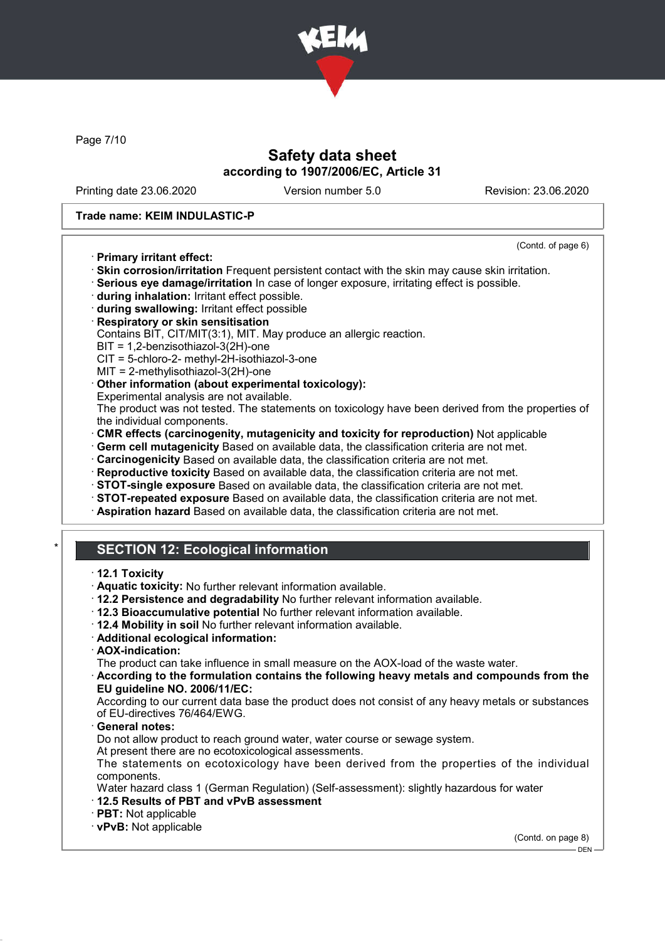

Page 7/10

## Safety data sheet according to 1907/2006/EC, Article 31

Printing date 23.06.2020 Version number 5.0 Revision: 23.06.2020

### Trade name: KEIM INDULASTIC-P

#### (Contd. of page 6)

- · Primary irritant effect:
- · Skin corrosion/irritation Frequent persistent contact with the skin may cause skin irritation.

· Serious eye damage/irritation In case of longer exposure, irritating effect is possible.

- · during inhalation: Irritant effect possible.
- · during swallowing: Irritant effect possible
- · Respiratory or skin sensitisation

Contains BIT, CIT/MIT(3:1), MIT. May produce an allergic reaction.

 $BIT = 1,2$ -benzisothiazol-3 $(2H)$ -one

CIT = 5-chloro-2- methyl-2H-isothiazol-3-one

MIT = 2-methylisothiazol-3(2H)-one

### · Other information (about experimental toxicology):

Experimental analysis are not available.

The product was not tested. The statements on toxicology have been derived from the properties of the individual components.

· CMR effects (carcinogenity, mutagenicity and toxicity for reproduction) Not applicable

· Germ cell mutagenicity Based on available data, the classification criteria are not met.

· Carcinogenicity Based on available data, the classification criteria are not met.

- · Reproductive toxicity Based on available data, the classification criteria are not met.
- · STOT-single exposure Based on available data, the classification criteria are not met.
- · STOT-repeated exposure Based on available data, the classification criteria are not met.
- · Aspiration hazard Based on available data, the classification criteria are not met.

## **SECTION 12: Ecological information**

#### · 12.1 Toxicity

- · Aquatic toxicity: No further relevant information available.
- · 12.2 Persistence and degradability No further relevant information available.
- · 12.3 Bioaccumulative potential No further relevant information available.
- · 12.4 Mobility in soil No further relevant information available.
- · Additional ecological information:
- · AOX-indication:

The product can take influence in small measure on the AOX-load of the waste water.

· According to the formulation contains the following heavy metals and compounds from the EU guideline NO. 2006/11/EC:

According to our current data base the product does not consist of any heavy metals or substances of EU-directives 76/464/EWG.

General notes:

Do not allow product to reach ground water, water course or sewage system.

At present there are no ecotoxicological assessments.

The statements on ecotoxicology have been derived from the properties of the individual components.

Water hazard class 1 (German Regulation) (Self-assessment): slightly hazardous for water

- · 12.5 Results of PBT and vPvB assessment
- · PBT: Not applicable

· vPvB: Not applicable

(Contd. on page 8)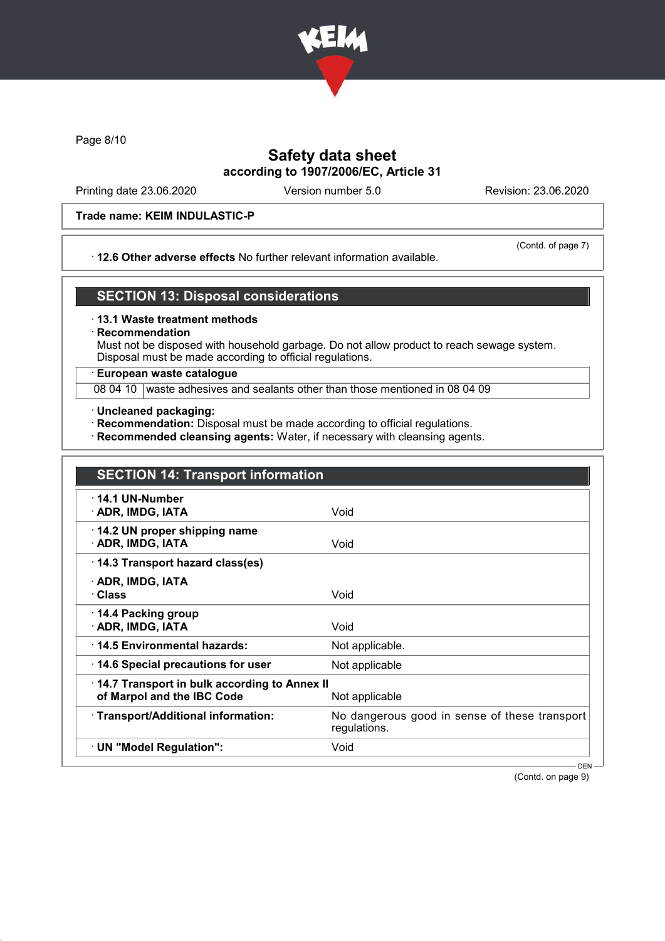

Page 8/10

## Safety data sheet according to 1907/2006/EC, Article 31

Printing date 23.06.2020 Version number 5.0 Revision: 23.06.2020

### Trade name: KEIM INDULASTIC-P

### · 12.6 Other adverse effects No further relevant information available.

(Contd. of page 7)

## SECTION 13: Disposal considerations

#### · 13.1 Waste treatment methods

### **Recommendation**

Must not be disposed with household garbage. Do not allow product to reach sewage system. Disposal must be made according to official regulations.

### · European waste catalogue

08 04 10 waste adhesives and sealants other than those mentioned in 08 04 09

- · Uncleaned packaging:
- · Recommendation: Disposal must be made according to official regulations.
- · Recommended cleansing agents: Water, if necessary with cleansing agents.

| <b>SECTION 14: Transport information</b>                                   |                                                               |
|----------------------------------------------------------------------------|---------------------------------------------------------------|
| $\cdot$ 14.1 UN-Number<br>· ADR, IMDG, IATA                                | Void                                                          |
| 14.2 UN proper shipping name<br>· ADR, IMDG, IATA                          | Void                                                          |
| 14.3 Transport hazard class(es)                                            |                                                               |
| · ADR, IMDG, IATA<br>· Class                                               | Void                                                          |
| 14.4 Packing group<br>· ADR, IMDG, IATA                                    | Void                                                          |
| 14.5 Environmental hazards:                                                | Not applicable.                                               |
| 14.6 Special precautions for user                                          | Not applicable                                                |
| 14.7 Transport in bulk according to Annex II<br>of Marpol and the IBC Code | Not applicable                                                |
| · Transport/Additional information:                                        | No dangerous good in sense of these transport<br>regulations. |
| · UN "Model Regulation":                                                   | Void                                                          |

(Contd. on page 9)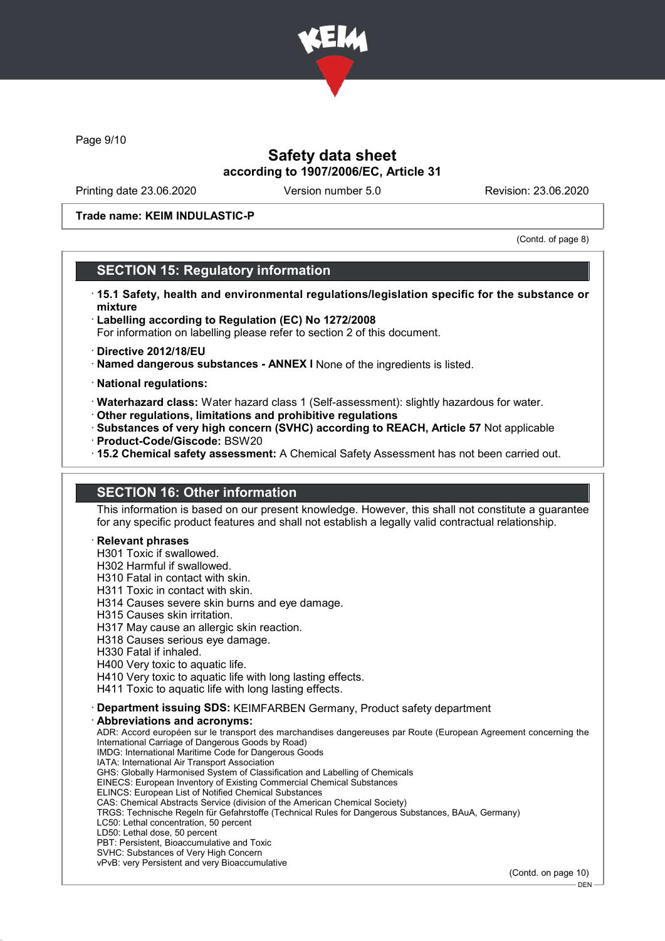

Page 9/10

## Safety data sheet according to 1907/2006/EC, Article 31

Printing date 23.06.2020 Version number 5.0 Revision: 23.06.2020

### Trade name: KEIM INDULASTIC-P

(Contd. of page 8)

## SECTION 15: Regulatory information

- · 15.1 Safety, health and environmental regulations/legislation specific for the substance or mixture
- · Labelling according to Regulation (EC) No 1272/2008 For information on labelling please refer to section 2 of this document.
- · Directive 2012/18/EU
- · Named dangerous substances ANNEX I None of the ingredients is listed.
- · National regulations:
- · Waterhazard class: Water hazard class 1 (Self-assessment): slightly hazardous for water.
- · Other regulations, limitations and prohibitive regulations
- · Substances of very high concern (SVHC) according to REACH, Article 57 Not applicable · Product-Code/Giscode: BSW20
- · 15.2 Chemical safety assessment: A Chemical Safety Assessment has not been carried out.

# SECTION 16: Other information

This information is based on our present knowledge. However, this shall not constitute a guarantee for any specific product features and shall not establish a legally valid contractual relationship.

### **Relevant phrases**

H301 Toxic if swallowed.

H302 Harmful if swallowed.

- H310 Fatal in contact with skin.
- H311 Toxic in contact with skin.
- H314 Causes severe skin burns and eye damage.
- H315 Causes skin irritation.
- H317 May cause an allergic skin reaction.
- H318 Causes serious eye damage.
- H330 Fatal if inhaled.
- H400 Very toxic to aquatic life.
- H410 Very toxic to aquatic life with long lasting effects.

H411 Toxic to aquatic life with long lasting effects.

· Department issuing SDS: KEIMFARBEN Germany, Product safety department

#### Abbreviations and acronyms:

ADR: Accord européen sur le transport des marchandises dangereuses par Route (European Agreement concerning the International Carriage of Dangerous Goods by Road) IMDG: International Maritime Code for Dangerous Goods IATA: International Air Transport Association GHS: Globally Harmonised System of Classification and Labelling of Chemicals EINECS: European Inventory of Existing Commercial Chemical Substances

- ELINCS: European List of Notified Chemical Substances
- CAS: Chemical Abstracts Service (division of the American Chemical Society)
- TRGS: Technische Regeln für Gefahrstoffe (Technical Rules for Dangerous Substances, BAuA, Germany)
- LC50: Lethal concentration, 50 percent
- LD50: Lethal dose, 50 percent
- PBT: Persistent, Bioaccumulative and Toxic SVHC: Substances of Very High Concern
- vPvB: very Persistent and very Bioaccumulative

(Contd. on page 10)